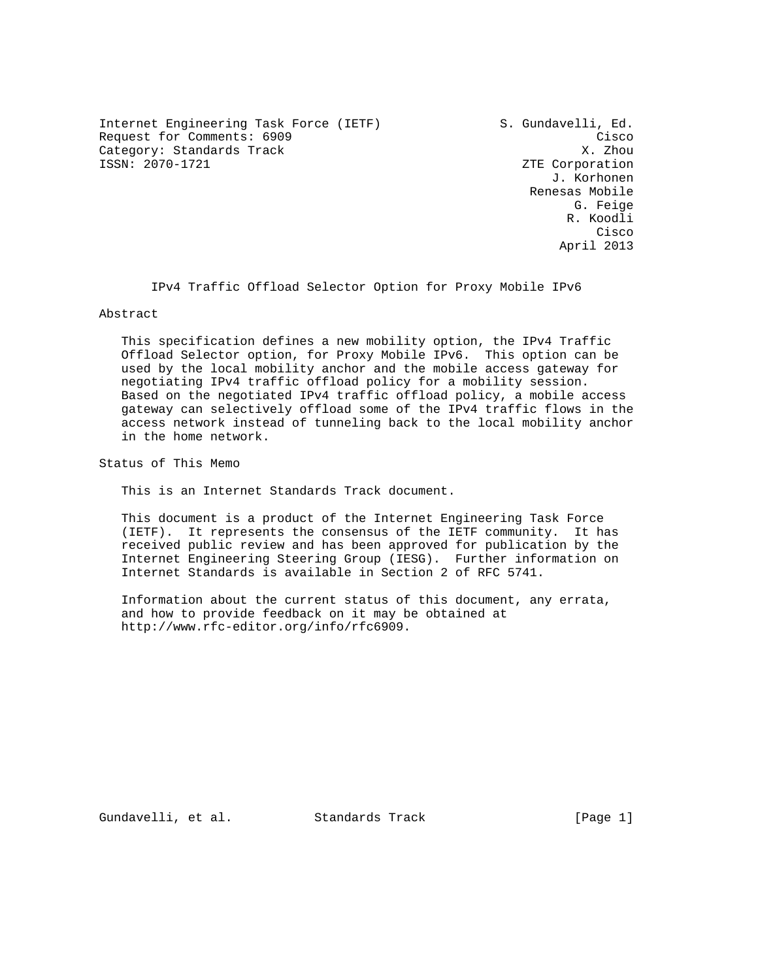Internet Engineering Task Force (IETF) S. Gundavelli, Ed. Request for Comments: 6909 Cisco Category: Standards Track<br>ISSN: 2070-1721

ZTE Corporation J. Korhonen Renesas Mobile G. Feige R. Koodli **Cisco de la contrata de la contrata de la contrata de la contrata de la contrata de la contrata de la contrat** April 2013

IPv4 Traffic Offload Selector Option for Proxy Mobile IPv6

Abstract

 This specification defines a new mobility option, the IPv4 Traffic Offload Selector option, for Proxy Mobile IPv6. This option can be used by the local mobility anchor and the mobile access gateway for negotiating IPv4 traffic offload policy for a mobility session. Based on the negotiated IPv4 traffic offload policy, a mobile access gateway can selectively offload some of the IPv4 traffic flows in the access network instead of tunneling back to the local mobility anchor in the home network.

Status of This Memo

This is an Internet Standards Track document.

 This document is a product of the Internet Engineering Task Force (IETF). It represents the consensus of the IETF community. It has received public review and has been approved for publication by the Internet Engineering Steering Group (IESG). Further information on Internet Standards is available in Section 2 of RFC 5741.

 Information about the current status of this document, any errata, and how to provide feedback on it may be obtained at http://www.rfc-editor.org/info/rfc6909.

Gundavelli, et al. Standards Track [Page 1]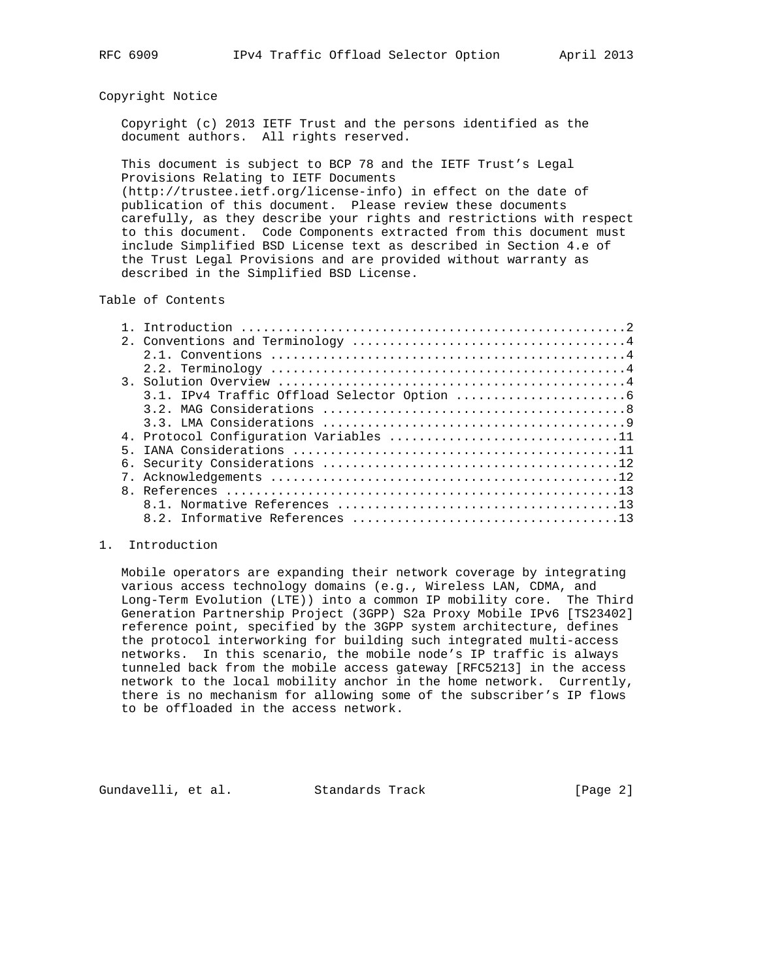## Copyright Notice

 Copyright (c) 2013 IETF Trust and the persons identified as the document authors. All rights reserved.

 This document is subject to BCP 78 and the IETF Trust's Legal Provisions Relating to IETF Documents

 (http://trustee.ietf.org/license-info) in effect on the date of publication of this document. Please review these documents carefully, as they describe your rights and restrictions with respect to this document. Code Components extracted from this document must include Simplified BSD License text as described in Section 4.e of the Trust Legal Provisions and are provided without warranty as described in the Simplified BSD License.

## Table of Contents

|       | 4. Protocol Configuration Variables 11 |
|-------|----------------------------------------|
| $5 -$ |                                        |
|       |                                        |
|       |                                        |
|       |                                        |
|       |                                        |
|       |                                        |

### 1. Introduction

 Mobile operators are expanding their network coverage by integrating various access technology domains (e.g., Wireless LAN, CDMA, and Long-Term Evolution (LTE)) into a common IP mobility core. The Third Generation Partnership Project (3GPP) S2a Proxy Mobile IPv6 [TS23402] reference point, specified by the 3GPP system architecture, defines the protocol interworking for building such integrated multi-access networks. In this scenario, the mobile node's IP traffic is always tunneled back from the mobile access gateway [RFC5213] in the access network to the local mobility anchor in the home network. Currently, there is no mechanism for allowing some of the subscriber's IP flows to be offloaded in the access network.

Gundavelli, et al. Standards Track [Page 2]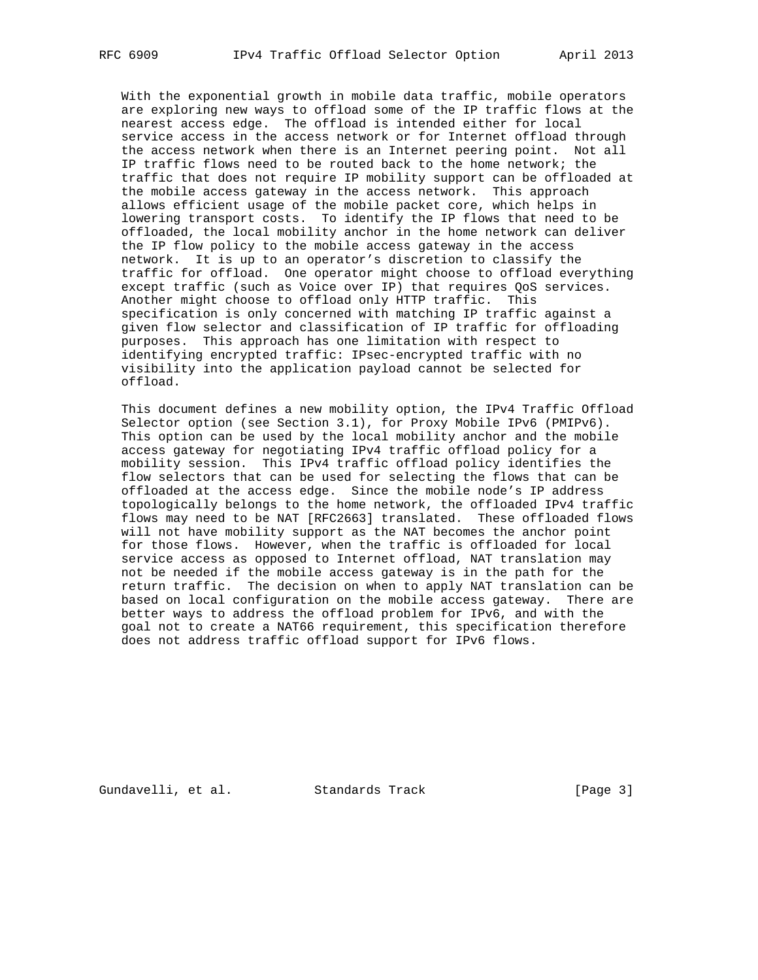With the exponential growth in mobile data traffic, mobile operators are exploring new ways to offload some of the IP traffic flows at the nearest access edge. The offload is intended either for local service access in the access network or for Internet offload through the access network when there is an Internet peering point. Not all IP traffic flows need to be routed back to the home network; the traffic that does not require IP mobility support can be offloaded at the mobile access gateway in the access network. This approach allows efficient usage of the mobile packet core, which helps in lowering transport costs. To identify the IP flows that need to be offloaded, the local mobility anchor in the home network can deliver the IP flow policy to the mobile access gateway in the access network. It is up to an operator's discretion to classify the traffic for offload. One operator might choose to offload everything except traffic (such as Voice over IP) that requires QoS services. Another might choose to offload only HTTP traffic. This specification is only concerned with matching IP traffic against a given flow selector and classification of IP traffic for offloading purposes. This approach has one limitation with respect to identifying encrypted traffic: IPsec-encrypted traffic with no visibility into the application payload cannot be selected for offload.

 This document defines a new mobility option, the IPv4 Traffic Offload Selector option (see Section 3.1), for Proxy Mobile IPv6 (PMIPv6). This option can be used by the local mobility anchor and the mobile access gateway for negotiating IPv4 traffic offload policy for a mobility session. This IPv4 traffic offload policy identifies the flow selectors that can be used for selecting the flows that can be offloaded at the access edge. Since the mobile node's IP address topologically belongs to the home network, the offloaded IPv4 traffic flows may need to be NAT [RFC2663] translated. These offloaded flows will not have mobility support as the NAT becomes the anchor point for those flows. However, when the traffic is offloaded for local service access as opposed to Internet offload, NAT translation may not be needed if the mobile access gateway is in the path for the return traffic. The decision on when to apply NAT translation can be based on local configuration on the mobile access gateway. There are better ways to address the offload problem for IPv6, and with the goal not to create a NAT66 requirement, this specification therefore does not address traffic offload support for IPv6 flows.

Gundavelli, et al. Standards Track [Page 3]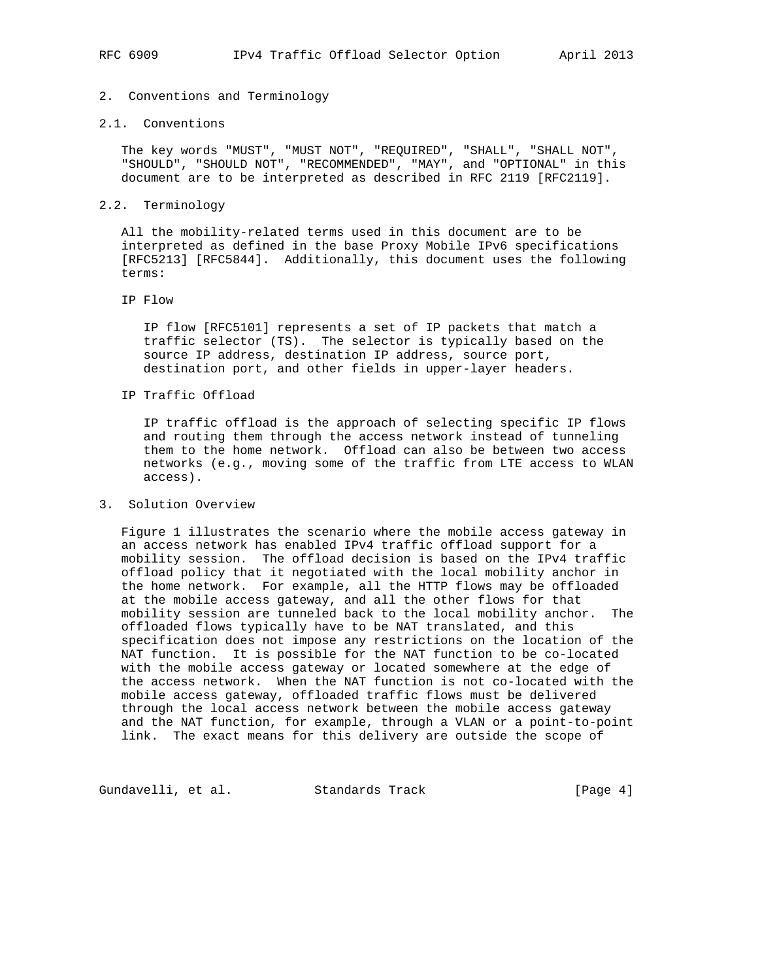# 2. Conventions and Terminology

### 2.1. Conventions

 The key words "MUST", "MUST NOT", "REQUIRED", "SHALL", "SHALL NOT", "SHOULD", "SHOULD NOT", "RECOMMENDED", "MAY", and "OPTIONAL" in this document are to be interpreted as described in RFC 2119 [RFC2119].

### 2.2. Terminology

 All the mobility-related terms used in this document are to be interpreted as defined in the base Proxy Mobile IPv6 specifications [RFC5213] [RFC5844]. Additionally, this document uses the following terms:

### IP Flow

 IP flow [RFC5101] represents a set of IP packets that match a traffic selector (TS). The selector is typically based on the source IP address, destination IP address, source port, destination port, and other fields in upper-layer headers.

# IP Traffic Offload

 IP traffic offload is the approach of selecting specific IP flows and routing them through the access network instead of tunneling them to the home network. Offload can also be between two access networks (e.g., moving some of the traffic from LTE access to WLAN access).

## 3. Solution Overview

 Figure 1 illustrates the scenario where the mobile access gateway in an access network has enabled IPv4 traffic offload support for a mobility session. The offload decision is based on the IPv4 traffic offload policy that it negotiated with the local mobility anchor in the home network. For example, all the HTTP flows may be offloaded at the mobile access gateway, and all the other flows for that mobility session are tunneled back to the local mobility anchor. The offloaded flows typically have to be NAT translated, and this specification does not impose any restrictions on the location of the NAT function. It is possible for the NAT function to be co-located with the mobile access gateway or located somewhere at the edge of the access network. When the NAT function is not co-located with the mobile access gateway, offloaded traffic flows must be delivered through the local access network between the mobile access gateway and the NAT function, for example, through a VLAN or a point-to-point link. The exact means for this delivery are outside the scope of

Gundavelli, et al. Standards Track [Page 4]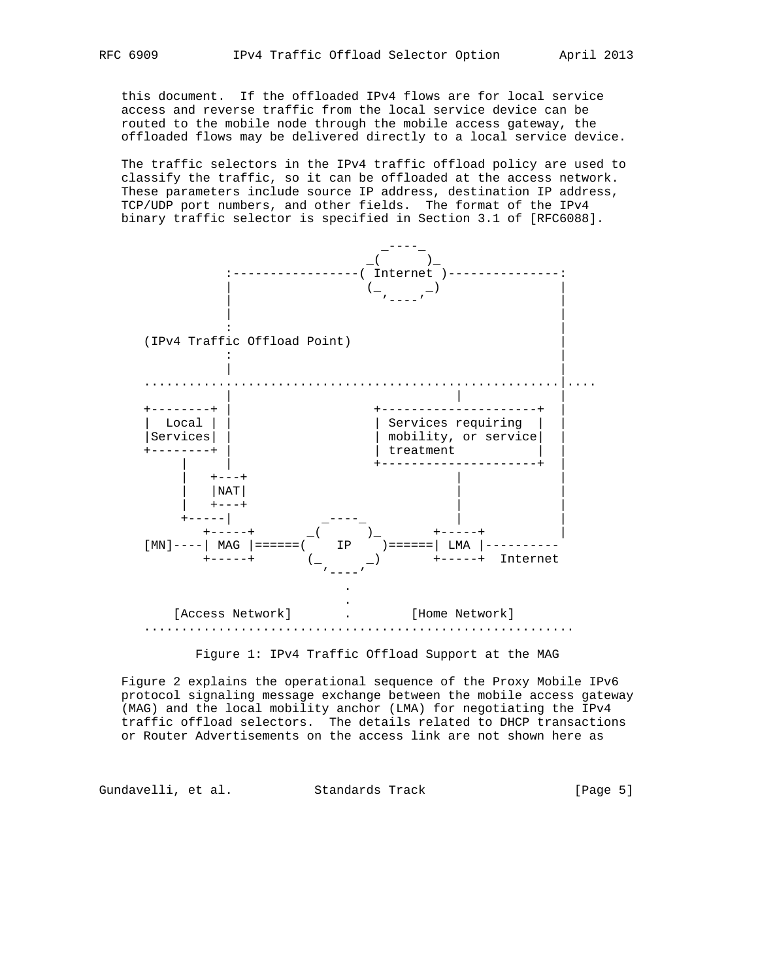this document. If the offloaded IPv4 flows are for local service access and reverse traffic from the local service device can be routed to the mobile node through the mobile access gateway, the offloaded flows may be delivered directly to a local service device.

 The traffic selectors in the IPv4 traffic offload policy are used to classify the traffic, so it can be offloaded at the access network. These parameters include source IP address, destination IP address, TCP/UDP port numbers, and other fields. The format of the IPv4 binary traffic selector is specified in Section 3.1 of [RFC6088].



Figure 1: IPv4 Traffic Offload Support at the MAG

 Figure 2 explains the operational sequence of the Proxy Mobile IPv6 protocol signaling message exchange between the mobile access gateway (MAG) and the local mobility anchor (LMA) for negotiating the IPv4 traffic offload selectors. The details related to DHCP transactions or Router Advertisements on the access link are not shown here as

Gundavelli, et al. Standards Track [Page 5]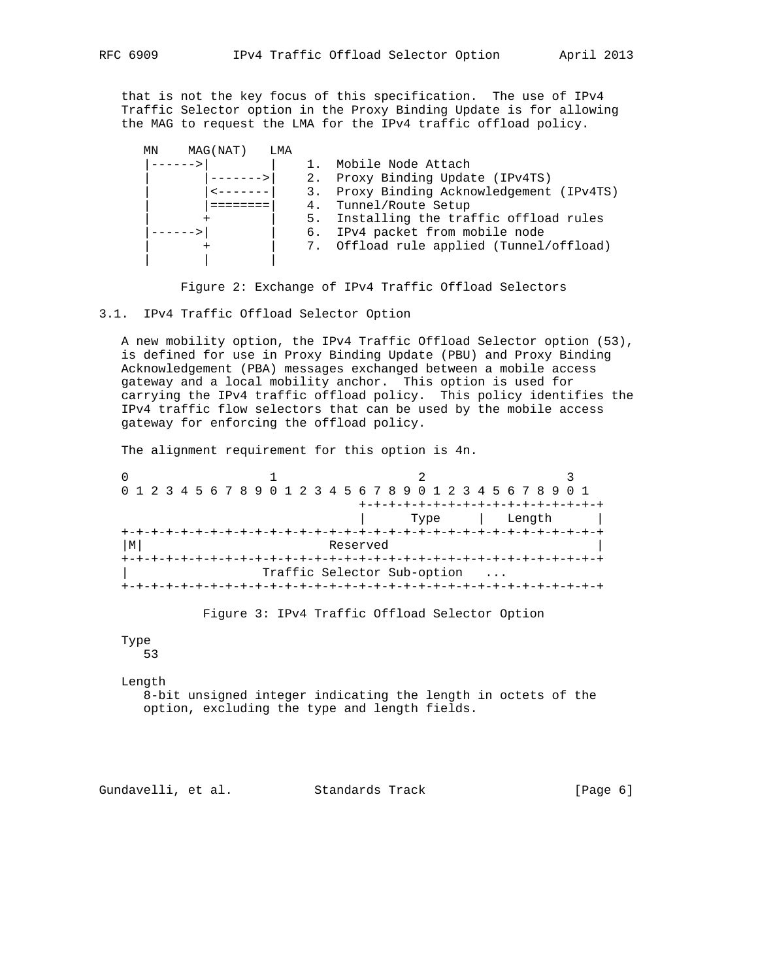that is not the key focus of this specification. The use of IPv4 Traffic Selector option in the Proxy Binding Update is for allowing the MAG to request the LMA for the IPv4 traffic offload policy.

| MAG (NAT)<br>ΜN | LMA |    |                                          |
|-----------------|-----|----|------------------------------------------|
|                 |     |    | Mobile Node Attach                       |
|                 |     |    | 2. Proxy Binding Update (IPv4TS)         |
|                 |     | 3. | Proxy Binding Acknowledgement (IPv4TS)   |
|                 |     | 4. | Tunnel/Route Setup                       |
|                 |     | 5. | Installing the traffic offload rules     |
|                 |     |    | 6. IPv4 packet from mobile node          |
|                 |     |    | 7. Offload rule applied (Tunnel/offload) |
|                 |     |    |                                          |

Figure 2: Exchange of IPv4 Traffic Offload Selectors

3.1. IPv4 Traffic Offload Selector Option

 A new mobility option, the IPv4 Traffic Offload Selector option (53), is defined for use in Proxy Binding Update (PBU) and Proxy Binding Acknowledgement (PBA) messages exchanged between a mobile access gateway and a local mobility anchor. This option is used for carrying the IPv4 traffic offload policy. This policy identifies the IPv4 traffic flow selectors that can be used by the mobile access gateway for enforcing the offload policy.

The alignment requirement for this option is 4n.

| 0 1 2 3 4 5 6 7 8 9 0 1 2 3 4 5 6 7 8 9 0 1 2 3 4 5 6 7 8 9 0 1 |  |  |  |  |  |          |  |                             |      |  |  |  |        |  |  |
|-----------------------------------------------------------------|--|--|--|--|--|----------|--|-----------------------------|------|--|--|--|--------|--|--|
|                                                                 |  |  |  |  |  |          |  |                             |      |  |  |  |        |  |  |
|                                                                 |  |  |  |  |  |          |  |                             | Type |  |  |  | Length |  |  |
|                                                                 |  |  |  |  |  |          |  |                             |      |  |  |  |        |  |  |
| М                                                               |  |  |  |  |  | Reserved |  |                             |      |  |  |  |        |  |  |
|                                                                 |  |  |  |  |  |          |  |                             |      |  |  |  |        |  |  |
|                                                                 |  |  |  |  |  |          |  | Traffic Selector Sub-option |      |  |  |  |        |  |  |
|                                                                 |  |  |  |  |  |          |  |                             |      |  |  |  |        |  |  |

Figure 3: IPv4 Traffic Offload Selector Option

#### Type 53

Length

 8-bit unsigned integer indicating the length in octets of the option, excluding the type and length fields.

Gundavelli, et al. Standards Track [Page 6]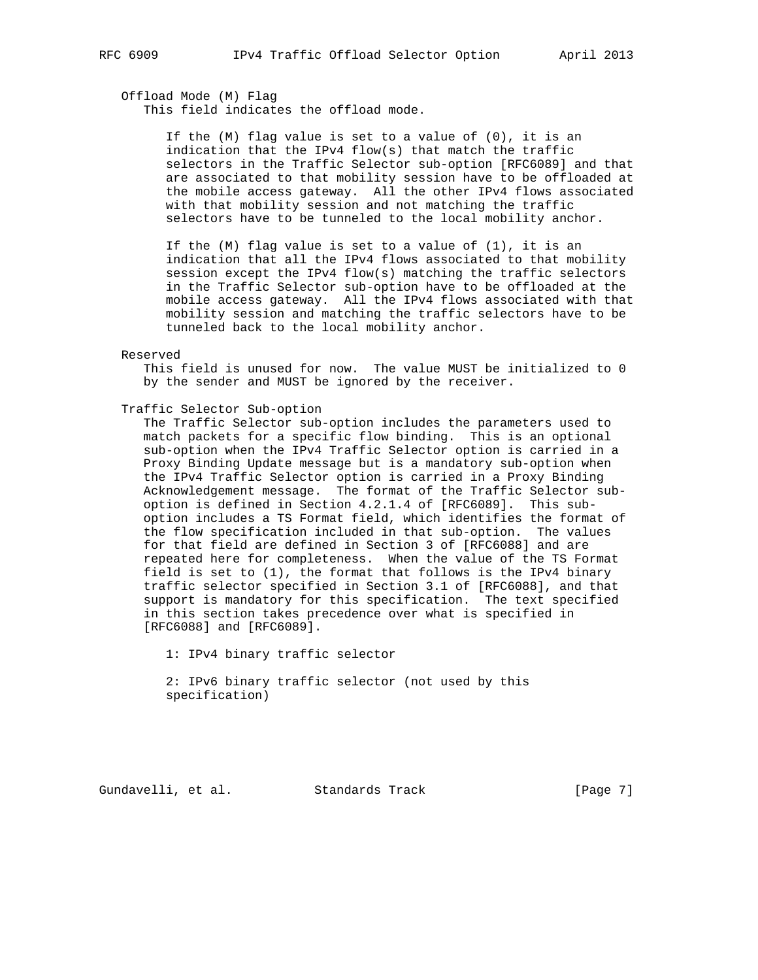Offload Mode (M) Flag This field indicates the offload mode.

> If the (M) flag value is set to a value of (0), it is an indication that the IPv4 flow(s) that match the traffic selectors in the Traffic Selector sub-option [RFC6089] and that are associated to that mobility session have to be offloaded at the mobile access gateway. All the other IPv4 flows associated with that mobility session and not matching the traffic selectors have to be tunneled to the local mobility anchor.

> If the (M) flag value is set to a value of (1), it is an indication that all the IPv4 flows associated to that mobility session except the IPv4 flow(s) matching the traffic selectors in the Traffic Selector sub-option have to be offloaded at the mobile access gateway. All the IPv4 flows associated with that mobility session and matching the traffic selectors have to be tunneled back to the local mobility anchor.

#### Reserved

 This field is unused for now. The value MUST be initialized to 0 by the sender and MUST be ignored by the receiver.

Traffic Selector Sub-option

 The Traffic Selector sub-option includes the parameters used to match packets for a specific flow binding. This is an optional sub-option when the IPv4 Traffic Selector option is carried in a Proxy Binding Update message but is a mandatory sub-option when the IPv4 Traffic Selector option is carried in a Proxy Binding Acknowledgement message. The format of the Traffic Selector sub option is defined in Section 4.2.1.4 of [RFC6089]. This sub option includes a TS Format field, which identifies the format of the flow specification included in that sub-option. The values for that field are defined in Section 3 of [RFC6088] and are repeated here for completeness. When the value of the TS Format field is set to (1), the format that follows is the IPv4 binary traffic selector specified in Section 3.1 of [RFC6088], and that support is mandatory for this specification. The text specified in this section takes precedence over what is specified in [RFC6088] and [RFC6089].

1: IPv4 binary traffic selector

 2: IPv6 binary traffic selector (not used by this specification)

Gundavelli, et al. Standards Track [Page 7]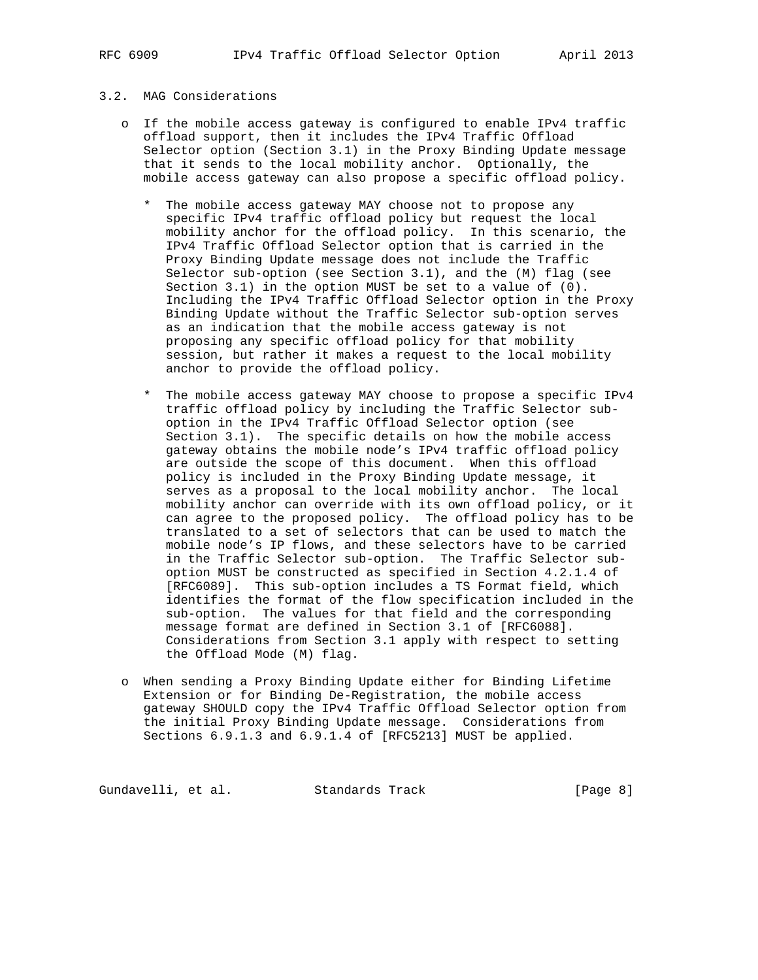# 3.2. MAG Considerations

- o If the mobile access gateway is configured to enable IPv4 traffic offload support, then it includes the IPv4 Traffic Offload Selector option (Section 3.1) in the Proxy Binding Update message that it sends to the local mobility anchor. Optionally, the mobile access gateway can also propose a specific offload policy.
	- \* The mobile access gateway MAY choose not to propose any specific IPv4 traffic offload policy but request the local mobility anchor for the offload policy. In this scenario, the IPv4 Traffic Offload Selector option that is carried in the Proxy Binding Update message does not include the Traffic Selector sub-option (see Section 3.1), and the (M) flag (see Section 3.1) in the option MUST be set to a value of (0). Including the IPv4 Traffic Offload Selector option in the Proxy Binding Update without the Traffic Selector sub-option serves as an indication that the mobile access gateway is not proposing any specific offload policy for that mobility session, but rather it makes a request to the local mobility anchor to provide the offload policy.
	- \* The mobile access gateway MAY choose to propose a specific IPv4 traffic offload policy by including the Traffic Selector sub option in the IPv4 Traffic Offload Selector option (see Section 3.1). The specific details on how the mobile access gateway obtains the mobile node's IPv4 traffic offload policy are outside the scope of this document. When this offload policy is included in the Proxy Binding Update message, it serves as a proposal to the local mobility anchor. The local mobility anchor can override with its own offload policy, or it can agree to the proposed policy. The offload policy has to be translated to a set of selectors that can be used to match the mobile node's IP flows, and these selectors have to be carried in the Traffic Selector sub-option. The Traffic Selector sub option MUST be constructed as specified in Section 4.2.1.4 of [RFC6089]. This sub-option includes a TS Format field, which identifies the format of the flow specification included in the sub-option. The values for that field and the corresponding message format are defined in Section 3.1 of [RFC6088]. Considerations from Section 3.1 apply with respect to setting the Offload Mode (M) flag.
- o When sending a Proxy Binding Update either for Binding Lifetime Extension or for Binding De-Registration, the mobile access gateway SHOULD copy the IPv4 Traffic Offload Selector option from the initial Proxy Binding Update message. Considerations from Sections 6.9.1.3 and 6.9.1.4 of [RFC5213] MUST be applied.

Gundavelli, et al. Standards Track [Page 8]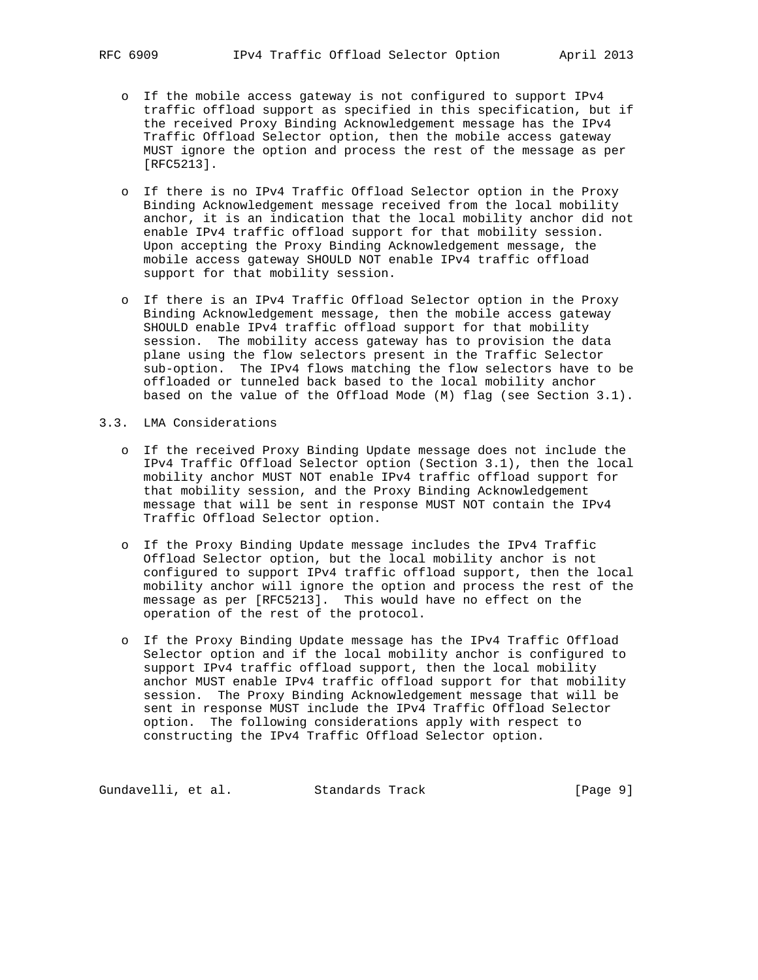- - o If the mobile access gateway is not configured to support IPv4 traffic offload support as specified in this specification, but if the received Proxy Binding Acknowledgement message has the IPv4 Traffic Offload Selector option, then the mobile access gateway MUST ignore the option and process the rest of the message as per [RFC5213].
	- o If there is no IPv4 Traffic Offload Selector option in the Proxy Binding Acknowledgement message received from the local mobility anchor, it is an indication that the local mobility anchor did not enable IPv4 traffic offload support for that mobility session. Upon accepting the Proxy Binding Acknowledgement message, the mobile access gateway SHOULD NOT enable IPv4 traffic offload support for that mobility session.
	- o If there is an IPv4 Traffic Offload Selector option in the Proxy Binding Acknowledgement message, then the mobile access gateway SHOULD enable IPv4 traffic offload support for that mobility session. The mobility access gateway has to provision the data plane using the flow selectors present in the Traffic Selector sub-option. The IPv4 flows matching the flow selectors have to be offloaded or tunneled back based to the local mobility anchor based on the value of the Offload Mode (M) flag (see Section 3.1).
- 3.3. LMA Considerations
	- o If the received Proxy Binding Update message does not include the IPv4 Traffic Offload Selector option (Section 3.1), then the local mobility anchor MUST NOT enable IPv4 traffic offload support for that mobility session, and the Proxy Binding Acknowledgement message that will be sent in response MUST NOT contain the IPv4 Traffic Offload Selector option.
	- o If the Proxy Binding Update message includes the IPv4 Traffic Offload Selector option, but the local mobility anchor is not configured to support IPv4 traffic offload support, then the local mobility anchor will ignore the option and process the rest of the message as per [RFC5213]. This would have no effect on the operation of the rest of the protocol.
	- o If the Proxy Binding Update message has the IPv4 Traffic Offload Selector option and if the local mobility anchor is configured to support IPv4 traffic offload support, then the local mobility anchor MUST enable IPv4 traffic offload support for that mobility session. The Proxy Binding Acknowledgement message that will be sent in response MUST include the IPv4 Traffic Offload Selector option. The following considerations apply with respect to constructing the IPv4 Traffic Offload Selector option.

Gundavelli, et al. Standards Track [Page 9]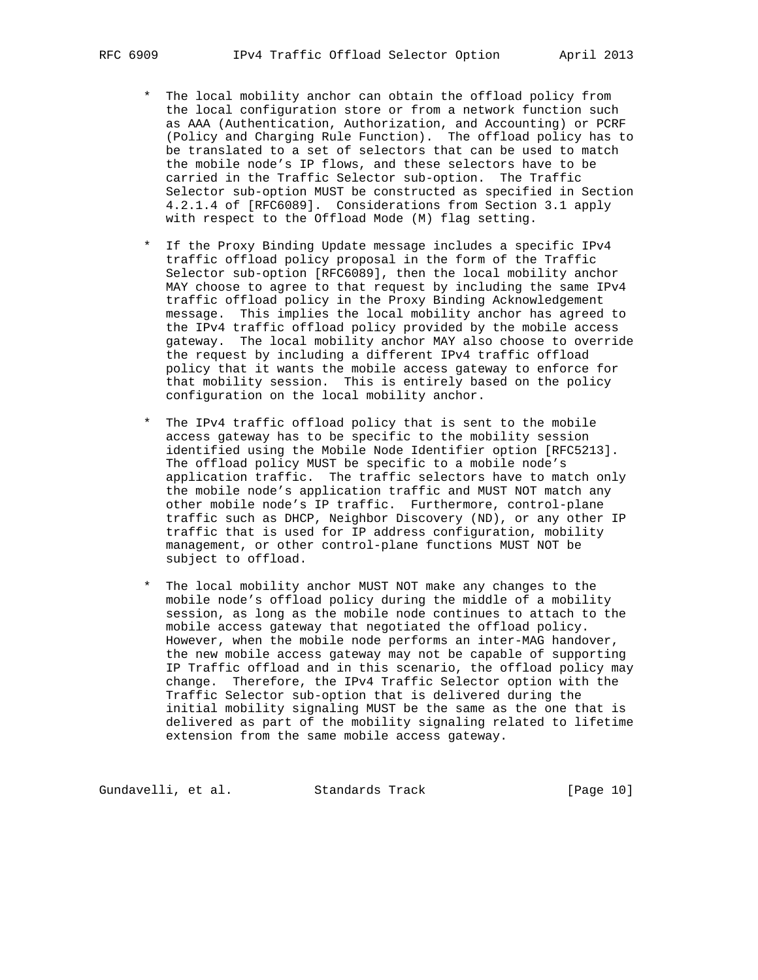- \* The local mobility anchor can obtain the offload policy from the local configuration store or from a network function such as AAA (Authentication, Authorization, and Accounting) or PCRF (Policy and Charging Rule Function). The offload policy has to be translated to a set of selectors that can be used to match the mobile node's IP flows, and these selectors have to be carried in the Traffic Selector sub-option. The Traffic Selector sub-option MUST be constructed as specified in Section 4.2.1.4 of [RFC6089]. Considerations from Section 3.1 apply with respect to the Offload Mode (M) flag setting.
- \* If the Proxy Binding Update message includes a specific IPv4 traffic offload policy proposal in the form of the Traffic Selector sub-option [RFC6089], then the local mobility anchor MAY choose to agree to that request by including the same IPv4 traffic offload policy in the Proxy Binding Acknowledgement message. This implies the local mobility anchor has agreed to the IPv4 traffic offload policy provided by the mobile access gateway. The local mobility anchor MAY also choose to override the request by including a different IPv4 traffic offload policy that it wants the mobile access gateway to enforce for that mobility session. This is entirely based on the policy configuration on the local mobility anchor.
- \* The IPv4 traffic offload policy that is sent to the mobile access gateway has to be specific to the mobility session identified using the Mobile Node Identifier option [RFC5213]. The offload policy MUST be specific to a mobile node's application traffic. The traffic selectors have to match only the mobile node's application traffic and MUST NOT match any other mobile node's IP traffic. Furthermore, control-plane traffic such as DHCP, Neighbor Discovery (ND), or any other IP traffic that is used for IP address configuration, mobility management, or other control-plane functions MUST NOT be subject to offload.
- \* The local mobility anchor MUST NOT make any changes to the mobile node's offload policy during the middle of a mobility session, as long as the mobile node continues to attach to the mobile access gateway that negotiated the offload policy. However, when the mobile node performs an inter-MAG handover, the new mobile access gateway may not be capable of supporting IP Traffic offload and in this scenario, the offload policy may change. Therefore, the IPv4 Traffic Selector option with the Traffic Selector sub-option that is delivered during the initial mobility signaling MUST be the same as the one that is delivered as part of the mobility signaling related to lifetime extension from the same mobile access gateway.

Gundavelli, et al. Standards Track [Page 10]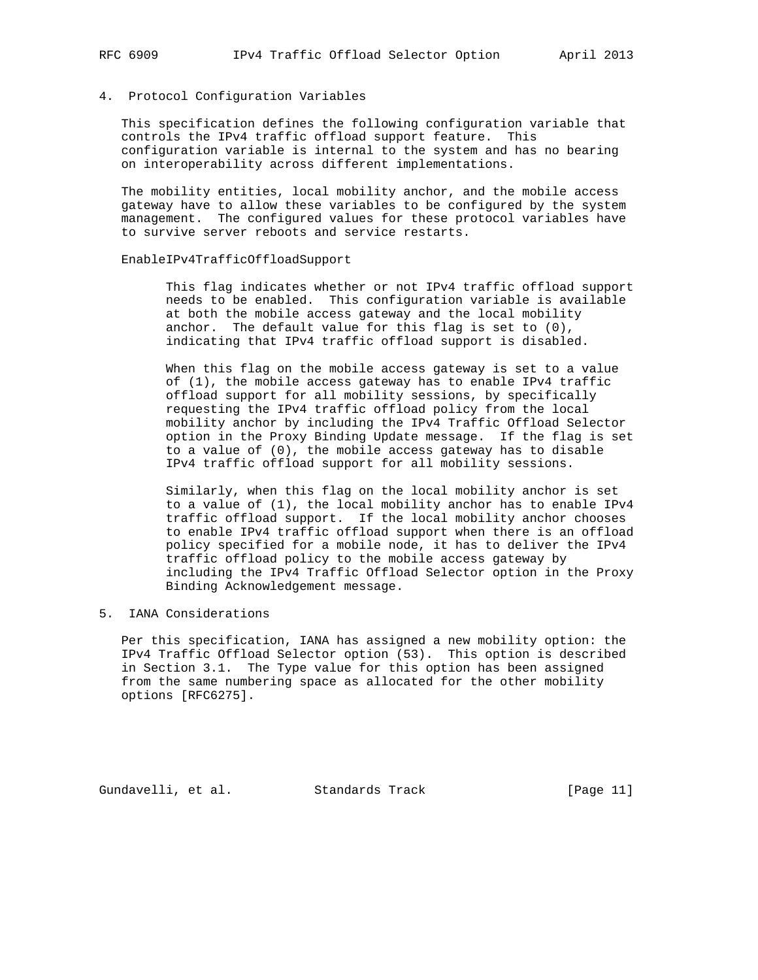### 4. Protocol Configuration Variables

 This specification defines the following configuration variable that controls the IPv4 traffic offload support feature. This configuration variable is internal to the system and has no bearing on interoperability across different implementations.

 The mobility entities, local mobility anchor, and the mobile access gateway have to allow these variables to be configured by the system management. The configured values for these protocol variables have to survive server reboots and service restarts.

## EnableIPv4TrafficOffloadSupport

 This flag indicates whether or not IPv4 traffic offload support needs to be enabled. This configuration variable is available at both the mobile access gateway and the local mobility anchor. The default value for this flag is set to (0), indicating that IPv4 traffic offload support is disabled.

 When this flag on the mobile access gateway is set to a value of (1), the mobile access gateway has to enable IPv4 traffic offload support for all mobility sessions, by specifically requesting the IPv4 traffic offload policy from the local mobility anchor by including the IPv4 Traffic Offload Selector option in the Proxy Binding Update message. If the flag is set to a value of (0), the mobile access gateway has to disable IPv4 traffic offload support for all mobility sessions.

 Similarly, when this flag on the local mobility anchor is set to a value of (1), the local mobility anchor has to enable IPv4 traffic offload support. If the local mobility anchor chooses to enable IPv4 traffic offload support when there is an offload policy specified for a mobile node, it has to deliver the IPv4 traffic offload policy to the mobile access gateway by including the IPv4 Traffic Offload Selector option in the Proxy Binding Acknowledgement message.

# 5. IANA Considerations

 Per this specification, IANA has assigned a new mobility option: the IPv4 Traffic Offload Selector option (53). This option is described in Section 3.1. The Type value for this option has been assigned from the same numbering space as allocated for the other mobility options [RFC6275].

Gundavelli, et al. Standards Track [Page 11]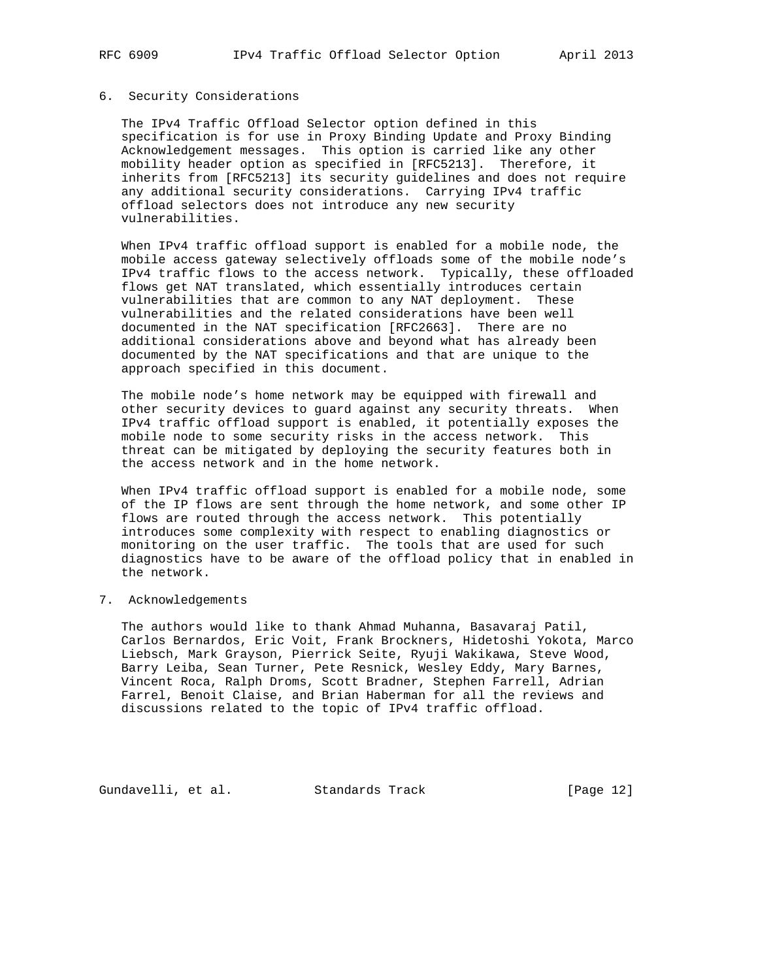### 6. Security Considerations

 The IPv4 Traffic Offload Selector option defined in this specification is for use in Proxy Binding Update and Proxy Binding Acknowledgement messages. This option is carried like any other mobility header option as specified in [RFC5213]. Therefore, it inherits from [RFC5213] its security guidelines and does not require any additional security considerations. Carrying IPv4 traffic offload selectors does not introduce any new security vulnerabilities.

 When IPv4 traffic offload support is enabled for a mobile node, the mobile access gateway selectively offloads some of the mobile node's IPv4 traffic flows to the access network. Typically, these offloaded flows get NAT translated, which essentially introduces certain vulnerabilities that are common to any NAT deployment. These vulnerabilities and the related considerations have been well documented in the NAT specification [RFC2663]. There are no additional considerations above and beyond what has already been documented by the NAT specifications and that are unique to the approach specified in this document.

 The mobile node's home network may be equipped with firewall and other security devices to guard against any security threats. When IPv4 traffic offload support is enabled, it potentially exposes the mobile node to some security risks in the access network. This threat can be mitigated by deploying the security features both in the access network and in the home network.

 When IPv4 traffic offload support is enabled for a mobile node, some of the IP flows are sent through the home network, and some other IP flows are routed through the access network. This potentially introduces some complexity with respect to enabling diagnostics or monitoring on the user traffic. The tools that are used for such diagnostics have to be aware of the offload policy that in enabled in the network.

7. Acknowledgements

 The authors would like to thank Ahmad Muhanna, Basavaraj Patil, Carlos Bernardos, Eric Voit, Frank Brockners, Hidetoshi Yokota, Marco Liebsch, Mark Grayson, Pierrick Seite, Ryuji Wakikawa, Steve Wood, Barry Leiba, Sean Turner, Pete Resnick, Wesley Eddy, Mary Barnes, Vincent Roca, Ralph Droms, Scott Bradner, Stephen Farrell, Adrian Farrel, Benoit Claise, and Brian Haberman for all the reviews and discussions related to the topic of IPv4 traffic offload.

Gundavelli, et al. Standards Track [Page 12]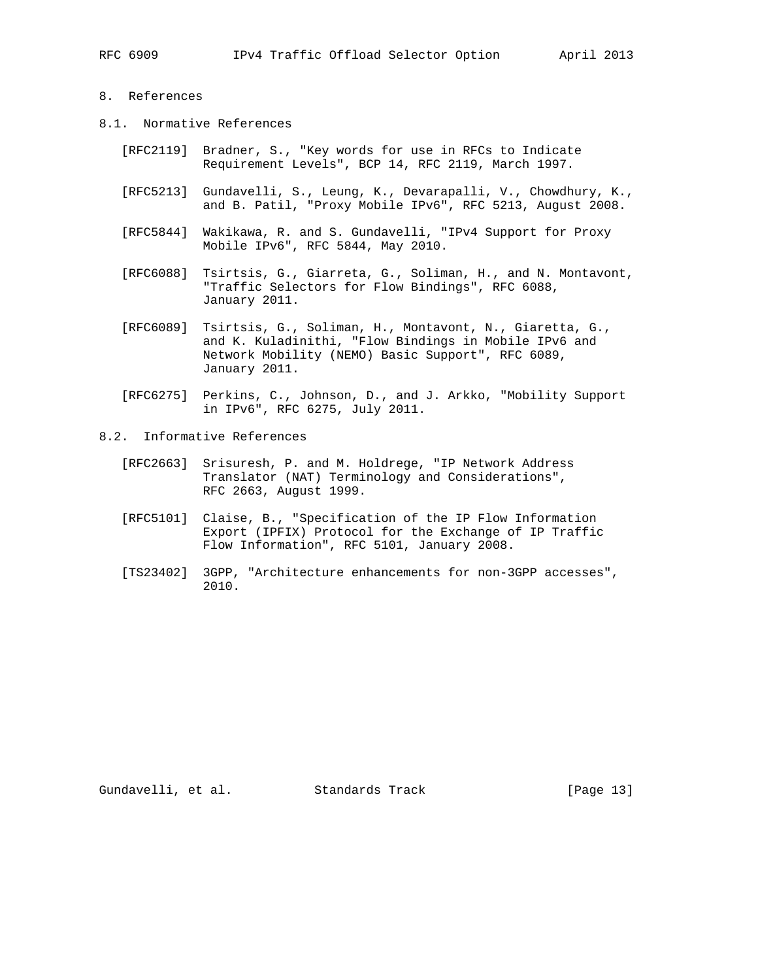# 8. References

- 8.1. Normative References
	- [RFC2119] Bradner, S., "Key words for use in RFCs to Indicate Requirement Levels", BCP 14, RFC 2119, March 1997.
	- [RFC5213] Gundavelli, S., Leung, K., Devarapalli, V., Chowdhury, K., and B. Patil, "Proxy Mobile IPv6", RFC 5213, August 2008.
	- [RFC5844] Wakikawa, R. and S. Gundavelli, "IPv4 Support for Proxy Mobile IPv6", RFC 5844, May 2010.
	- [RFC6088] Tsirtsis, G., Giarreta, G., Soliman, H., and N. Montavont, "Traffic Selectors for Flow Bindings", RFC 6088, January 2011.
	- [RFC6089] Tsirtsis, G., Soliman, H., Montavont, N., Giaretta, G., and K. Kuladinithi, "Flow Bindings in Mobile IPv6 and Network Mobility (NEMO) Basic Support", RFC 6089, January 2011.
	- [RFC6275] Perkins, C., Johnson, D., and J. Arkko, "Mobility Support in IPv6", RFC 6275, July 2011.
- 8.2. Informative References
	- [RFC2663] Srisuresh, P. and M. Holdrege, "IP Network Address Translator (NAT) Terminology and Considerations", RFC 2663, August 1999.
	- [RFC5101] Claise, B., "Specification of the IP Flow Information Export (IPFIX) Protocol for the Exchange of IP Traffic Flow Information", RFC 5101, January 2008.
	- [TS23402] 3GPP, "Architecture enhancements for non-3GPP accesses", 2010.

Gundavelli, et al. Standards Track [Page 13]